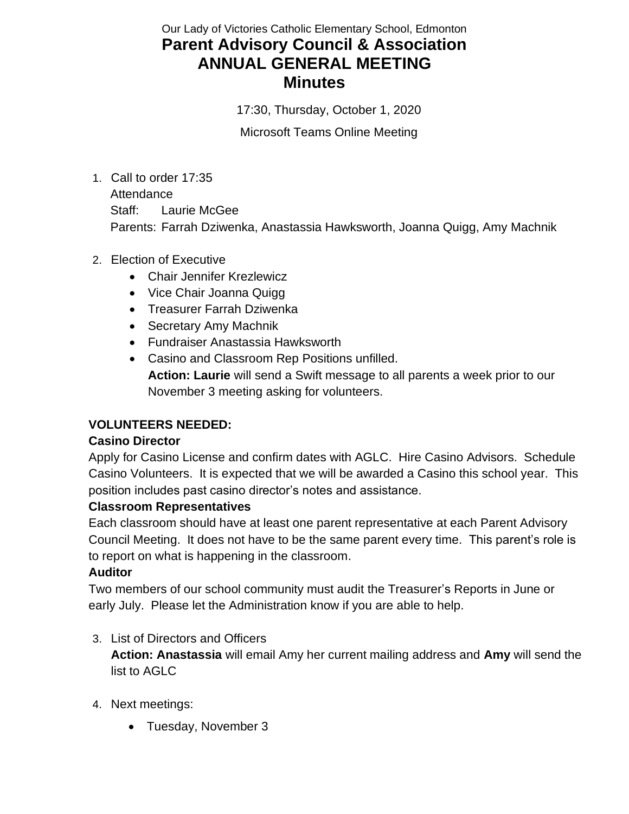# Our Lady of Victories Catholic Elementary School, Edmonton **Parent Advisory Council & Association ANNUAL GENERAL MEETING Minutes**

17:30, Thursday, October 1, 2020

Microsoft Teams Online Meeting

- 1. Call to order 17:35 **Attendance** Staff: Laurie McGee Parents: Farrah Dziwenka, Anastassia Hawksworth, Joanna Quigg, Amy Machnik
- 2. Election of Executive
	- Chair Jennifer Krezlewicz
	- Vice Chair Joanna Quigg
	- Treasurer Farrah Dziwenka
	- Secretary Amy Machnik
	- Fundraiser Anastassia Hawksworth
	- Casino and Classroom Rep Positions unfilled. **Action: Laurie** will send a Swift message to all parents a week prior to our November 3 meeting asking for volunteers.

## **VOLUNTEERS NEEDED:**

#### **Casino Director**

Apply for Casino License and confirm dates with AGLC. Hire Casino Advisors. Schedule Casino Volunteers. It is expected that we will be awarded a Casino this school year. This position includes past casino director's notes and assistance.

#### **Classroom Representatives**

Each classroom should have at least one parent representative at each Parent Advisory Council Meeting. It does not have to be the same parent every time. This parent's role is to report on what is happening in the classroom.

#### **Auditor**

Two members of our school community must audit the Treasurer's Reports in June or early July. Please let the Administration know if you are able to help.

## 3. List of Directors and Officers

**Action: Anastassia** will email Amy her current mailing address and **Amy** will send the list to AGLC

- 4. Next meetings:
	- Tuesday, November 3